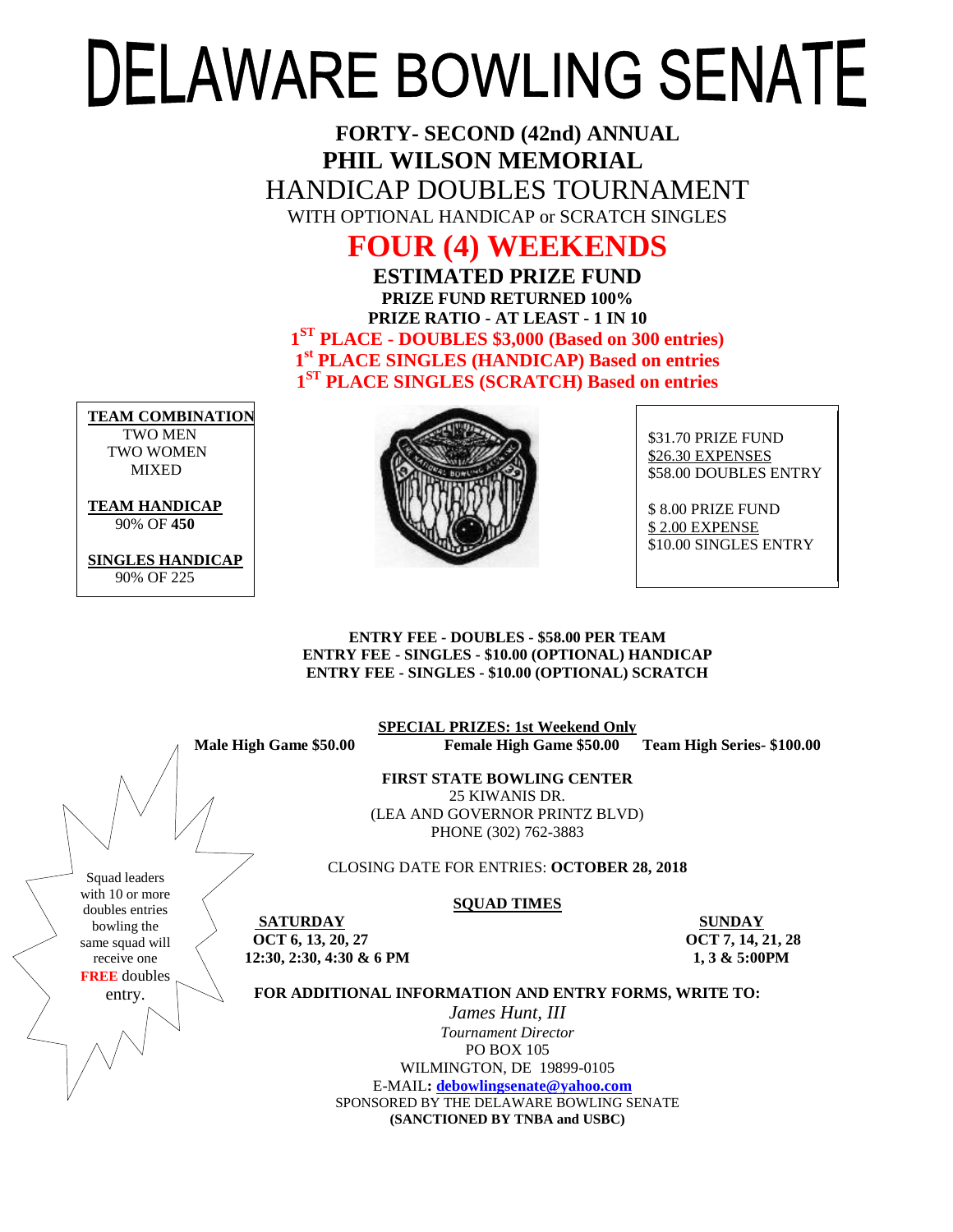# **DELAWARE BOWLING SENATE**

**FORTY- SECOND (42nd) ANNUAL PHIL WILSON MEMORIAL** HANDICAP DOUBLES TOURNAMENT WITH OPTIONAL HANDICAP or SCRATCH SINGLES

## **FOUR (4) WEEKENDS**

**ESTIMATED PRIZE FUND PRIZE FUND RETURNED 100% PRIZE RATIO - AT LEAST - 1 IN 10 1 ST PLACE - DOUBLES \$3,000 (Based on 300 entries) 1 st PLACE SINGLES (HANDICAP) Based on entries 1 ST PLACE SINGLES (SCRATCH) Based on entries**

**TEAM COMBINATION** TWO MEN TWO WOMEN **MIXED** 

**TEAM HANDICAP**

90% OF **450**

**SINGLES HANDICAP** 90% OF 225



\$31.70 PRIZE FUND \$26.30 EXPENSES \$58.00 DOUBLES ENTRY

\$ 8.00 PRIZE FUND \$ 2.00 EXPENSE \$10.00 SINGLES ENTRY

#### **ENTRY FEE - DOUBLES - \$58.00 PER TEAM ENTRY FEE - SINGLES - \$10.00 (OPTIONAL) HANDICAP ENTRY FEE - SINGLES - \$10.00 (OPTIONAL) SCRATCH**

**SPECIAL PRIZES: 1st Weekend Only**

**Male High Game \$50.00 Female High Game \$50.00 Team High Series- \$100.00**

**FIRST STATE BOWLING CENTER** 25 KIWANIS DR. (LEA AND GOVERNOR PRINTZ BLVD) PHONE (302) 762-3883

CLOSING DATE FOR ENTRIES: **OCTOBER 28, 2018**

#### **SQUAD TIMES**

Squad leaders with 10 or more doubles entries bowling the same squad will receive one **FREE** doubles entry.

**SATURDAY SUNDAY OCT 6, 13, 20, 27 OCT 7, 14, 21, 28 12:30, 2:30, 4:30 & 6 PM 1, 3 & 5:00PM** 

**FOR ADDITIONAL INFORMATION AND ENTRY FORMS, WRITE TO:**

*James Hunt, III Tournament Director* PO BOX 105 WILMINGTON, DE 19899-0105 E-MAIL**: [debowlingsenate@yahoo.com](mailto:debowlingsenate@yahoo.com)** SPONSORED BY THE DELAWARE BOWLING SENATE **(SANCTIONED BY TNBA and USBC)**